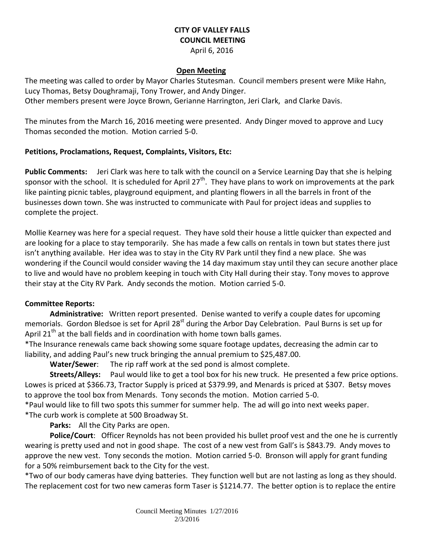# **CITY OF VALLEY FALLS COUNCIL MEETING**

#### April 6, 2016

#### **Open Meeting**

The meeting was called to order by Mayor Charles Stutesman. Council members present were Mike Hahn, Lucy Thomas, Betsy Doughramaji, Tony Trower, and Andy Dinger.

Other members present were Joyce Brown, Gerianne Harrington, Jeri Clark, and Clarke Davis.

The minutes from the March 16, 2016 meeting were presented. Andy Dinger moved to approve and Lucy Thomas seconded the motion. Motion carried 5-0.

### **Petitions, Proclamations, Request, Complaints, Visitors, Etc:**

**Public Comments:** Jeri Clark was here to talk with the council on a Service Learning Day that she is helping sponsor with the school. It is scheduled for April 27<sup>th</sup>. They have plans to work on improvements at the park like painting picnic tables, playground equipment, and planting flowers in all the barrels in front of the businesses down town. She was instructed to communicate with Paul for project ideas and supplies to complete the project.

Mollie Kearney was here for a special request. They have sold their house a little quicker than expected and are looking for a place to stay temporarily. She has made a few calls on rentals in town but states there just isn't anything available. Her idea was to stay in the City RV Park until they find a new place. She was wondering if the Council would consider waving the 14 day maximum stay until they can secure another place to live and would have no problem keeping in touch with City Hall during their stay. Tony moves to approve their stay at the City RV Park. Andy seconds the motion. Motion carried 5-0.

## **Committee Reports:**

**Administrative:** Written report presented. Denise wanted to verify a couple dates for upcoming memorials. Gordon Bledsoe is set for April 28<sup>st</sup> during the Arbor Day Celebration. Paul Burns is set up for April 21<sup>th</sup> at the ball fields and in coordination with home town balls games.

\*The Insurance renewals came back showing some square footage updates, decreasing the admin car to liability, and adding Paul's new truck bringing the annual premium to \$25,487.00.

**Water/Sewer**: The rip raff work at the sed pond is almost complete.

**Streets/Alleys:** Paul would like to get a tool box for his new truck. He presented a few price options. Lowes is priced at \$366.73, Tractor Supply is priced at \$379.99, and Menards is priced at \$307. Betsy moves to approve the tool box from Menards. Tony seconds the motion. Motion carried 5-0.

\*Paul would like to fill two spots this summer for summer help. The ad will go into next weeks paper. \*The curb work is complete at 500 Broadway St.

**Parks:** All the City Parks are open.

**Police/Court**: Officer Reynolds has not been provided his bullet proof vest and the one he is currently wearing is pretty used and not in good shape. The cost of a new vest from Gall's is \$843.79. Andy moves to approve the new vest. Tony seconds the motion. Motion carried 5-0. Bronson will apply for grant funding for a 50% reimbursement back to the City for the vest.

\*Two of our body cameras have dying batteries. They function well but are not lasting as long as they should. The replacement cost for two new cameras form Taser is \$1214.77. The better option is to replace the entire